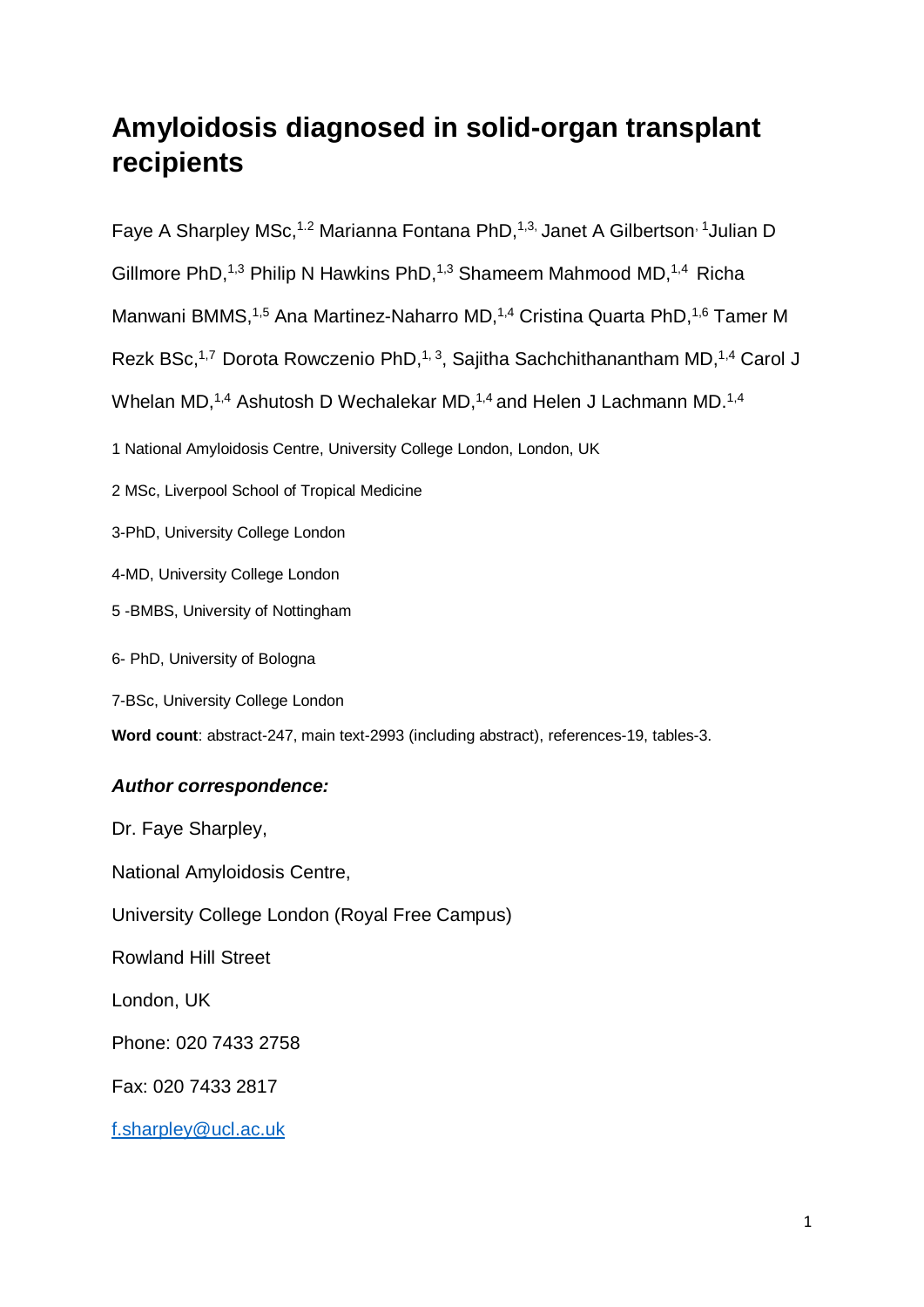# **Amyloidosis diagnosed in solid-organ transplant recipients**

Faye A Sharpley MSc,<sup>1.2</sup> Marianna Fontana PhD,<sup>1,3,</sup> Janet A Gilbertson<sup>, 1</sup>Julian D

Gillmore PhD,<sup>1,3</sup> Philip N Hawkins PhD,<sup>1,3</sup> Shameem Mahmood MD,<sup>1,4</sup> Richa

Manwani BMMS,<sup>1,5</sup> Ana Martinez-Naharro MD,<sup>1,4</sup> Cristina Quarta PhD,<sup>1,6</sup> Tamer M

Rezk BSc,<sup>1,7</sup> Dorota Rowczenio PhD,<sup>1,3</sup>, Sajitha Sachchithanantham MD,<sup>1,4</sup> Carol J

Whelan MD,<sup>1,4</sup> Ashutosh D Wechalekar MD,<sup>1,4</sup> and Helen J Lachmann MD.<sup>1,4</sup>

1 National Amyloidosis Centre, University College London, London, UK

2 MSc, Liverpool School of Tropical Medicine

3-PhD, University College London

4-MD, University College London

5 -BMBS, University of Nottingham

6- PhD, University of Bologna

7-BSc, University College London

**Word count**: abstract-247, main text-2993 (including abstract), references-19, tables-3.

# *Author correspondence:*

Dr. Faye Sharpley, National Amyloidosis Centre, University College London (Royal Free Campus) Rowland Hill Street London, UK Phone: 020 7433 2758

Fax: 020 7433 2817

[f.sharpley@ucl.ac.uk](mailto:f.sharpley@ucl.ac.uk)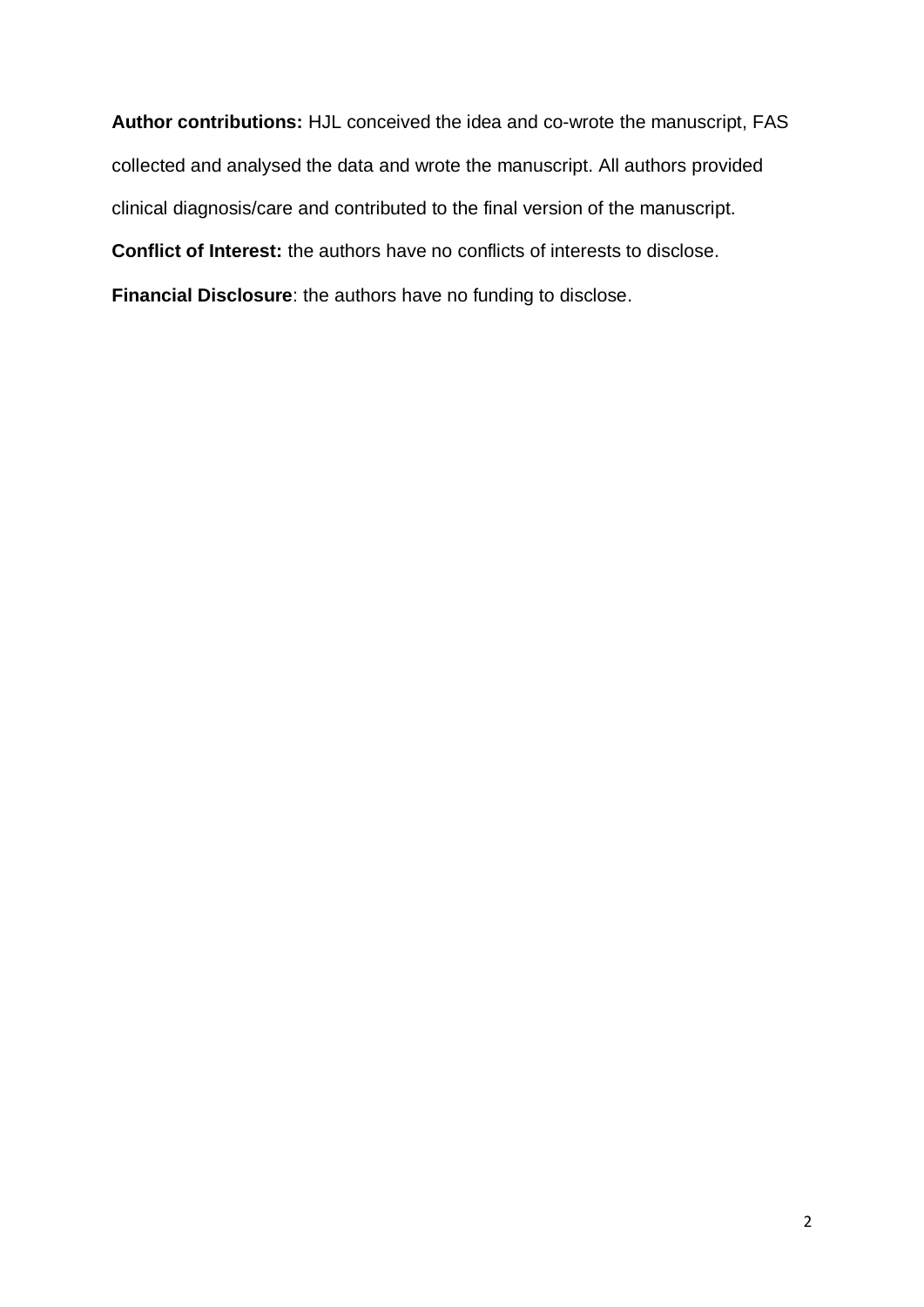**Author contributions:** HJL conceived the idea and co-wrote the manuscript, FAS collected and analysed the data and wrote the manuscript. All authors provided clinical diagnosis/care and contributed to the final version of the manuscript. **Conflict of Interest:** the authors have no conflicts of interests to disclose. **Financial Disclosure**: the authors have no funding to disclose.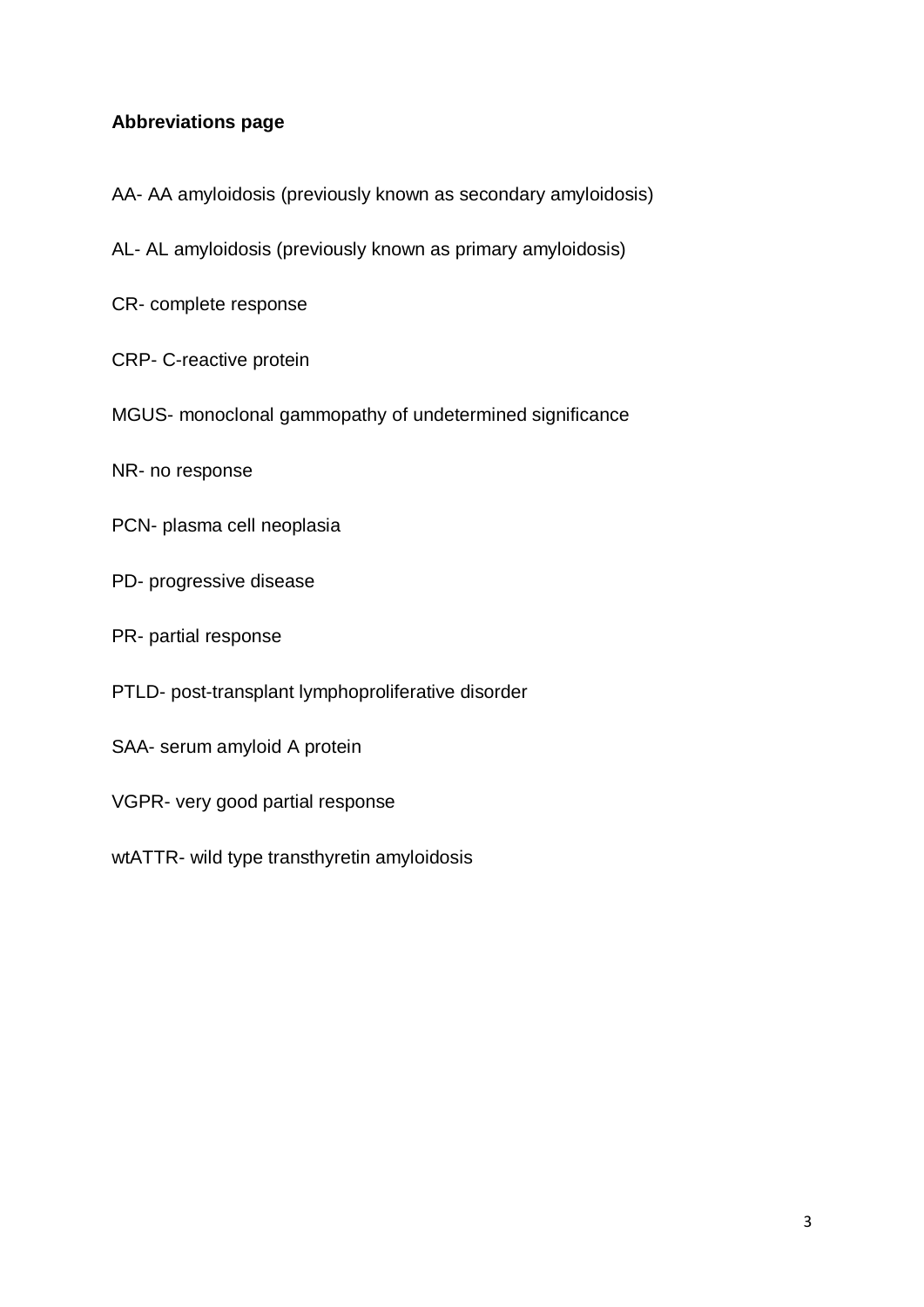# **Abbreviations page**

- AA- AA amyloidosis (previously known as secondary amyloidosis)
- AL- AL amyloidosis (previously known as primary amyloidosis)
- CR- complete response
- CRP- C-reactive protein
- MGUS- monoclonal gammopathy of undetermined significance
- NR- no response
- PCN- plasma cell neoplasia
- PD- progressive disease
- PR- partial response
- PTLD- post-transplant lymphoproliferative disorder
- SAA- serum amyloid A protein
- VGPR- very good partial response
- wtATTR- wild type transthyretin amyloidosis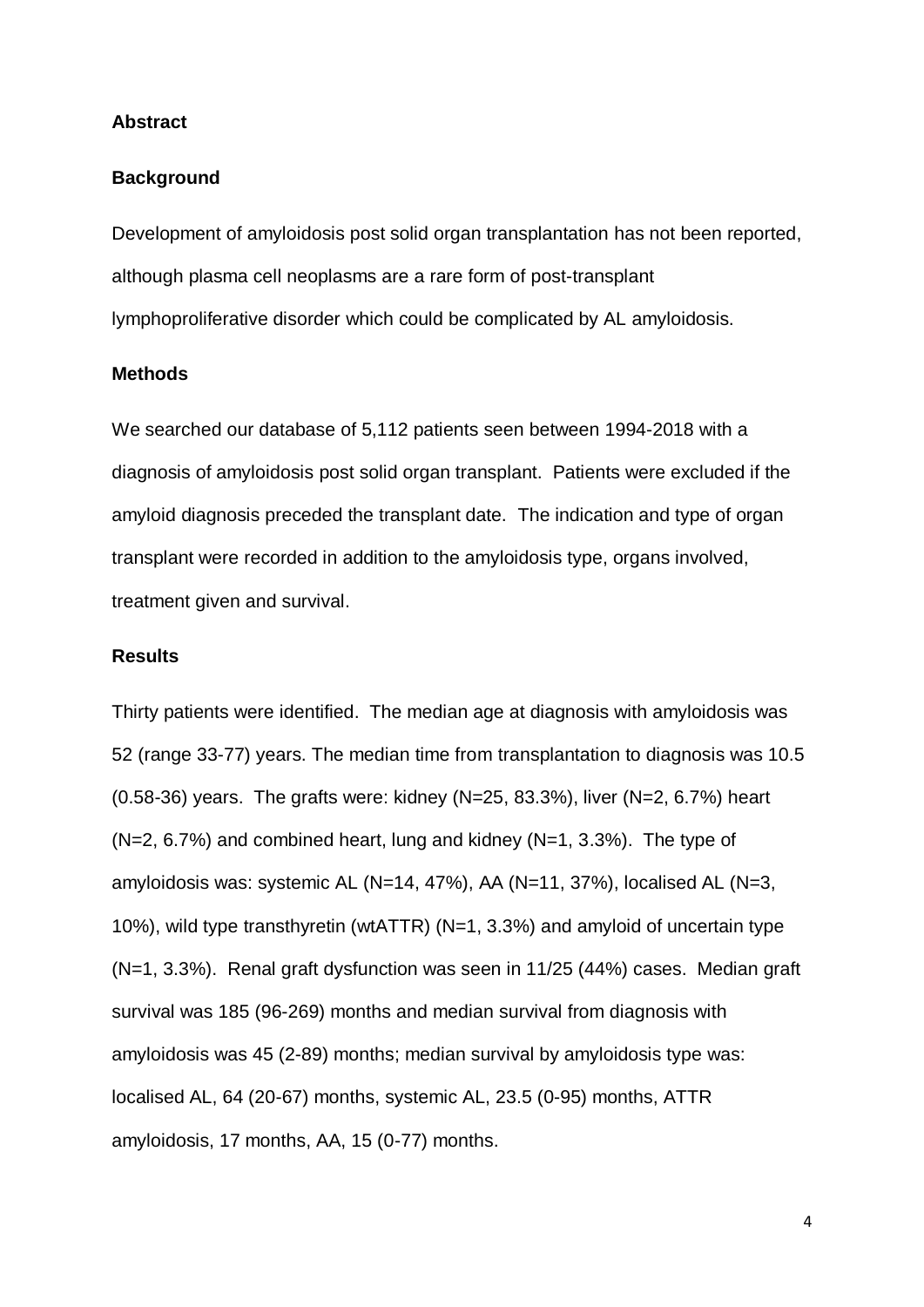#### **Abstract**

# **Background**

Development of amyloidosis post solid organ transplantation has not been reported, although plasma cell neoplasms are a rare form of post-transplant lymphoproliferative disorder which could be complicated by AL amyloidosis.

# **Methods**

We searched our database of 5,112 patients seen between 1994-2018 with a diagnosis of amyloidosis post solid organ transplant. Patients were excluded if the amyloid diagnosis preceded the transplant date. The indication and type of organ transplant were recorded in addition to the amyloidosis type, organs involved, treatment given and survival.

### **Results**

Thirty patients were identified. The median age at diagnosis with amyloidosis was 52 (range 33-77) years. The median time from transplantation to diagnosis was 10.5 (0.58-36) years. The grafts were: kidney (N=25, 83.3%), liver (N=2, 6.7%) heart  $(N=2, 6.7%)$  and combined heart, lung and kidney  $(N=1, 3.3%)$ . The type of amyloidosis was: systemic AL (N=14, 47%), AA (N=11, 37%), localised AL (N=3, 10%), wild type transthyretin (wtATTR) (N=1, 3.3%) and amyloid of uncertain type (N=1, 3.3%). Renal graft dysfunction was seen in 11/25 (44%) cases. Median graft survival was 185 (96-269) months and median survival from diagnosis with amyloidosis was 45 (2-89) months; median survival by amyloidosis type was: localised AL, 64 (20-67) months, systemic AL, 23.5 (0-95) months, ATTR amyloidosis, 17 months, AA, 15 (0-77) months.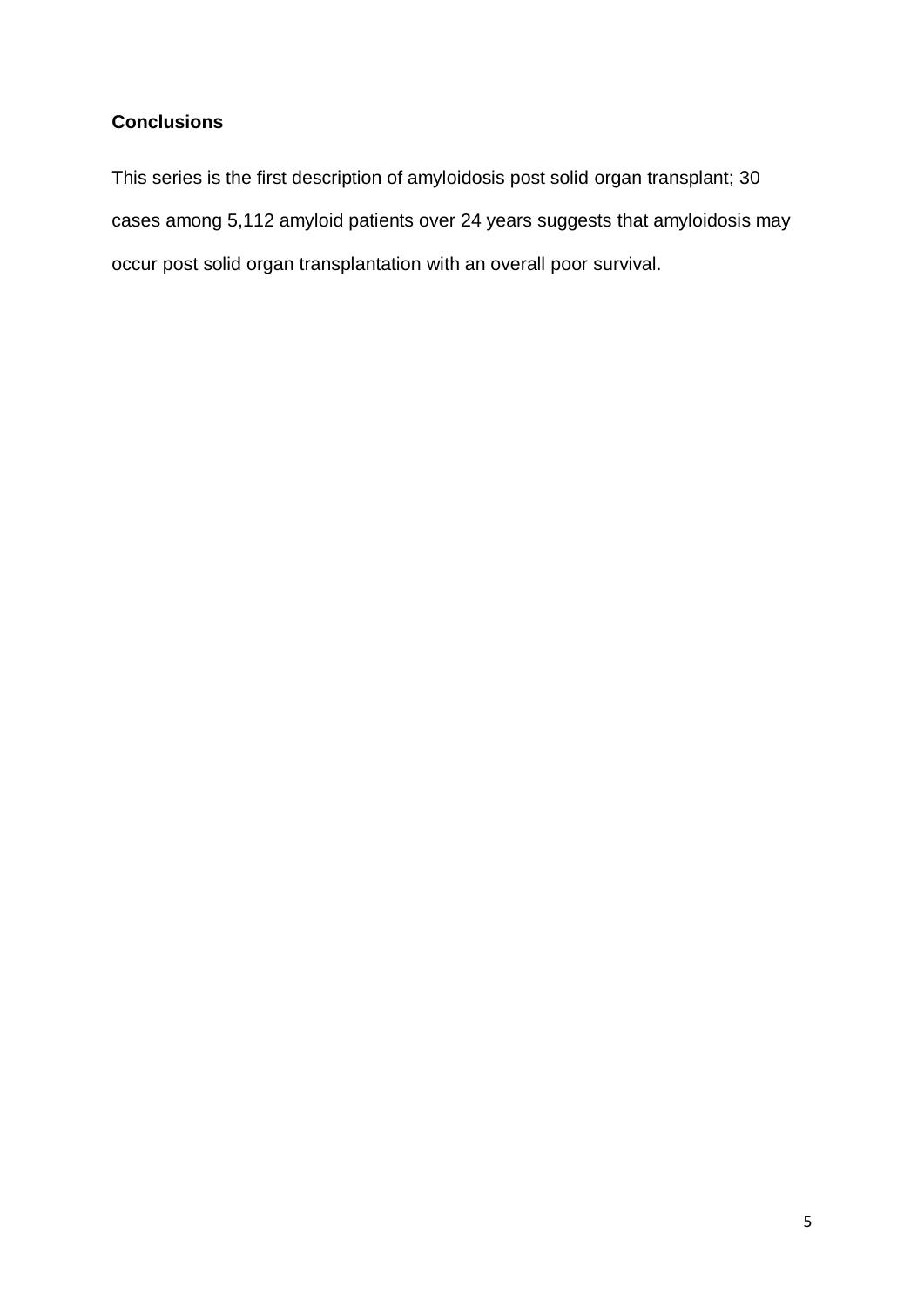# **Conclusions**

This series is the first description of amyloidosis post solid organ transplant; 30 cases among 5,112 amyloid patients over 24 years suggests that amyloidosis may occur post solid organ transplantation with an overall poor survival.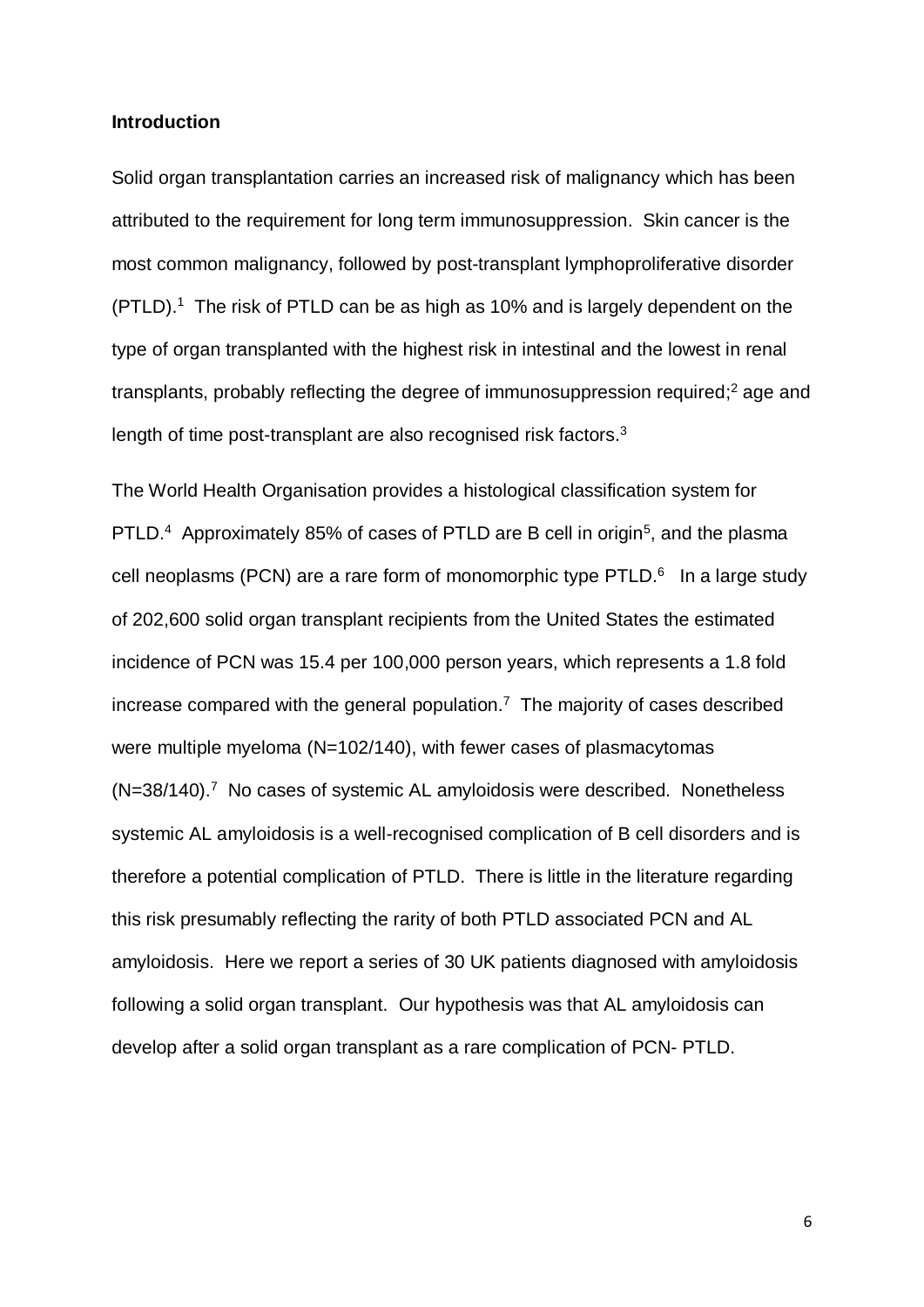# **Introduction**

Solid organ transplantation carries an increased risk of malignancy which has been attributed to the requirement for long term immunosuppression. Skin cancer is the most common malignancy, followed by post-transplant lymphoproliferative disorder (PTLD). <sup>1</sup> The risk of PTLD can be as high as 10% and is largely dependent on the type of organ transplanted with the highest risk in intestinal and the lowest in renal transplants, probably reflecting the degree of immunosuppression required;<sup>2</sup> age and length of time post-transplant are also recognised risk factors. $3$ 

The World Health Organisation provides a histological classification system for PTLD.<sup>4</sup> Approximately 85% of cases of PTLD are B cell in origin<sup>5</sup>, and the plasma cell neoplasms (PCN) are a rare form of monomorphic type PTLD. $6$  In a large study of 202,600 solid organ transplant recipients from the United States the estimated incidence of PCN was 15.4 per 100,000 person years, which represents a 1.8 fold increase compared with the general population.<sup>7</sup> The majority of cases described were multiple myeloma (N=102/140), with fewer cases of plasmacytomas (N=38/140).<sup>7</sup> No cases of systemic AL amyloidosis were described. Nonetheless systemic AL amyloidosis is a well-recognised complication of B cell disorders and is therefore a potential complication of PTLD. There is little in the literature regarding this risk presumably reflecting the rarity of both PTLD associated PCN and AL amyloidosis. Here we report a series of 30 UK patients diagnosed with amyloidosis following a solid organ transplant. Our hypothesis was that AL amyloidosis can develop after a solid organ transplant as a rare complication of PCN- PTLD.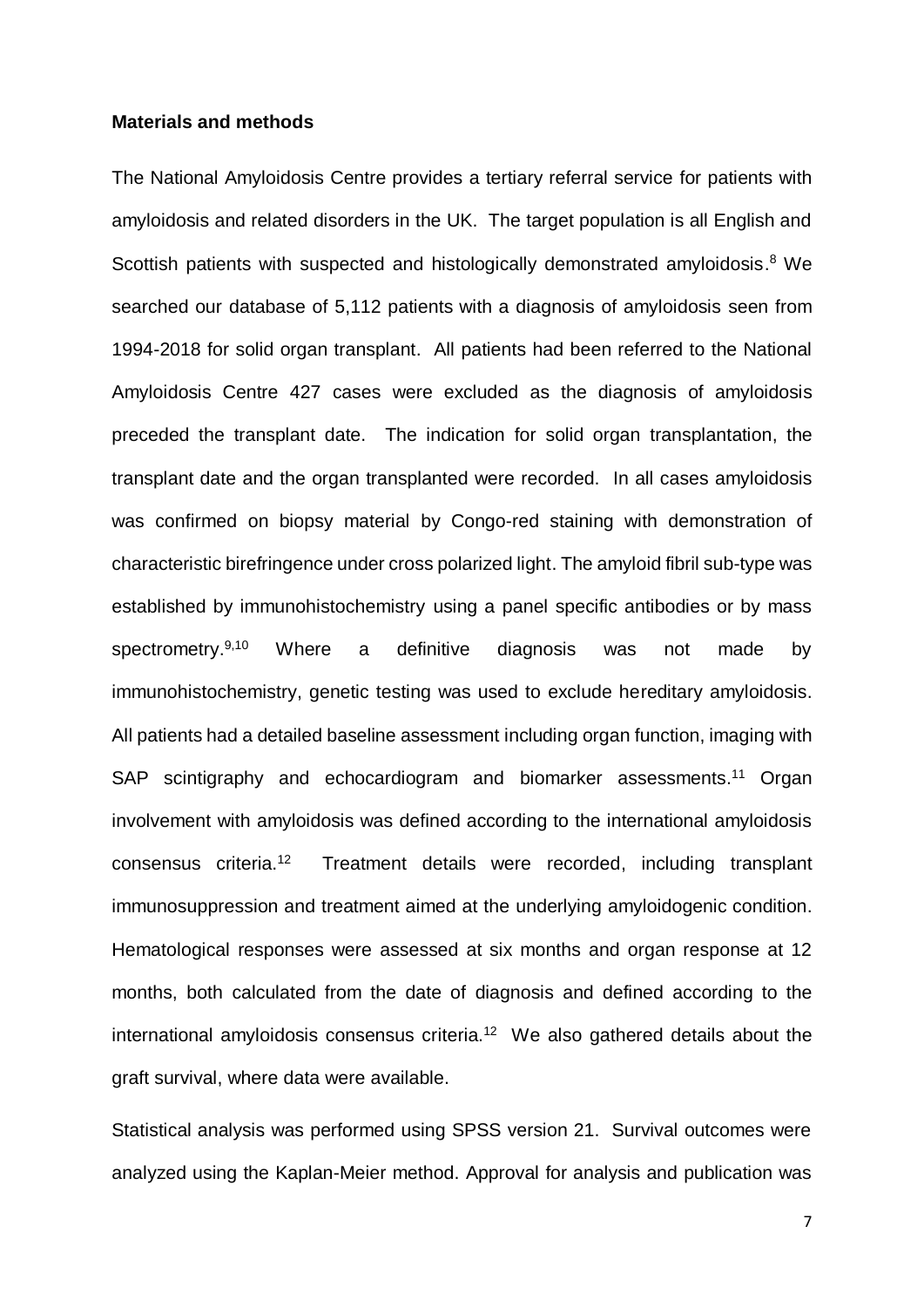### **Materials and methods**

The National Amyloidosis Centre provides a tertiary referral service for patients with amyloidosis and related disorders in the UK. The target population is all English and Scottish patients with suspected and histologically demonstrated amyloidosis.<sup>8</sup> We searched our database of 5,112 patients with a diagnosis of amyloidosis seen from 1994-2018 for solid organ transplant. All patients had been referred to the National Amyloidosis Centre 427 cases were excluded as the diagnosis of amyloidosis preceded the transplant date. The indication for solid organ transplantation, the transplant date and the organ transplanted were recorded. In all cases amyloidosis was confirmed on biopsy material by Congo-red staining with demonstration of characteristic birefringence under cross polarized light. The amyloid fibril sub-type was established by immunohistochemistry using a panel specific antibodies or by mass spectrometry.<sup>9,10</sup> Where a definitive diagnosis was not made by immunohistochemistry, genetic testing was used to exclude hereditary amyloidosis. All patients had a detailed baseline assessment including organ function, imaging with SAP scintigraphy and echocardiogram and biomarker assessments.<sup>11</sup> Organ involvement with amyloidosis was defined according to the international amyloidosis consensus criteria.<sup>12</sup> Treatment details were recorded, including transplant immunosuppression and treatment aimed at the underlying amyloidogenic condition. Hematological responses were assessed at six months and organ response at 12 months, both calculated from the date of diagnosis and defined according to the international amyloidosis consensus criteria.<sup>12</sup> We also gathered details about the graft survival, where data were available.

Statistical analysis was performed using SPSS version 21. Survival outcomes were analyzed using the Kaplan-Meier method. Approval for analysis and publication was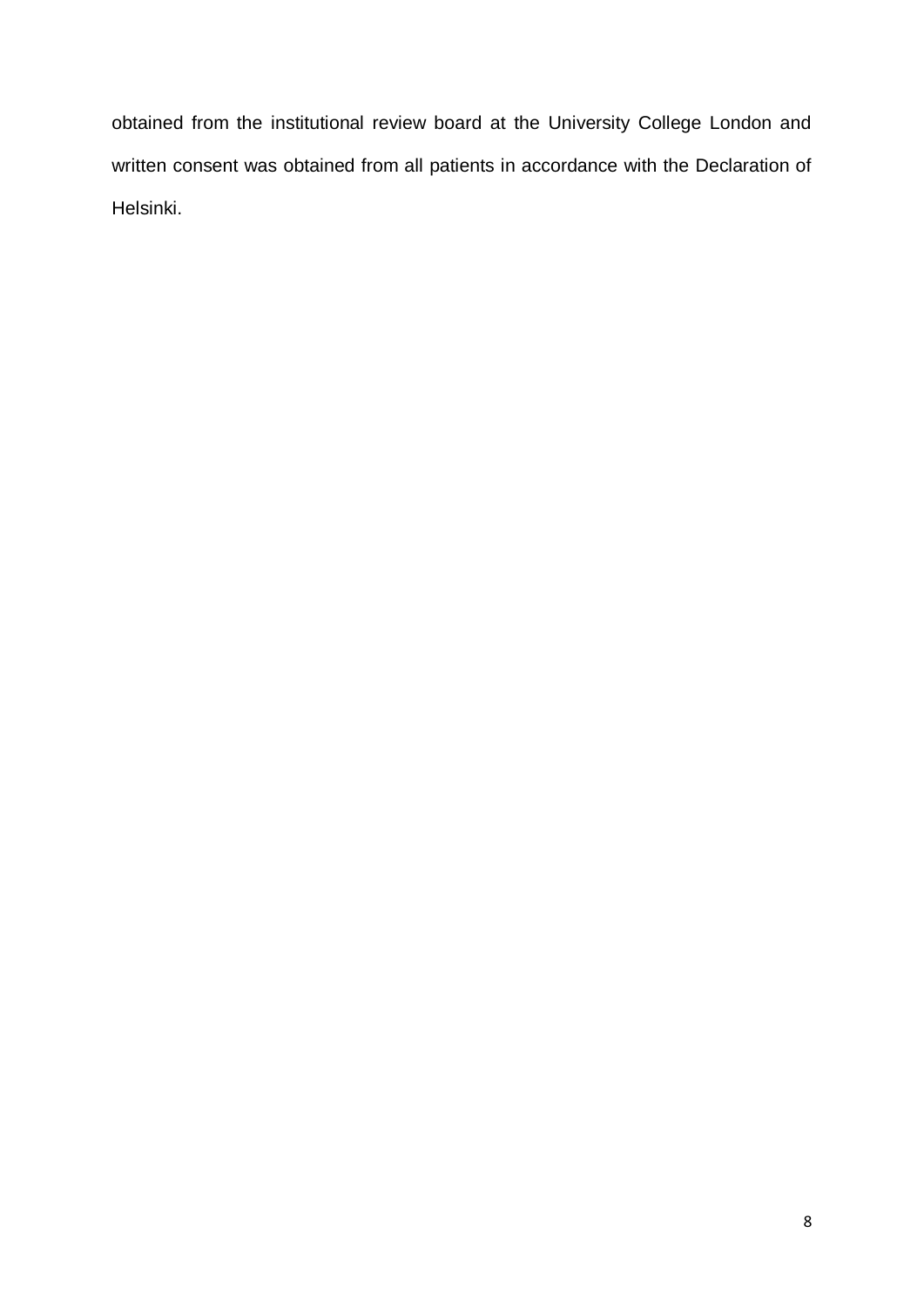obtained from the institutional review board at the University College London and written consent was obtained from all patients in accordance with the Declaration of Helsinki.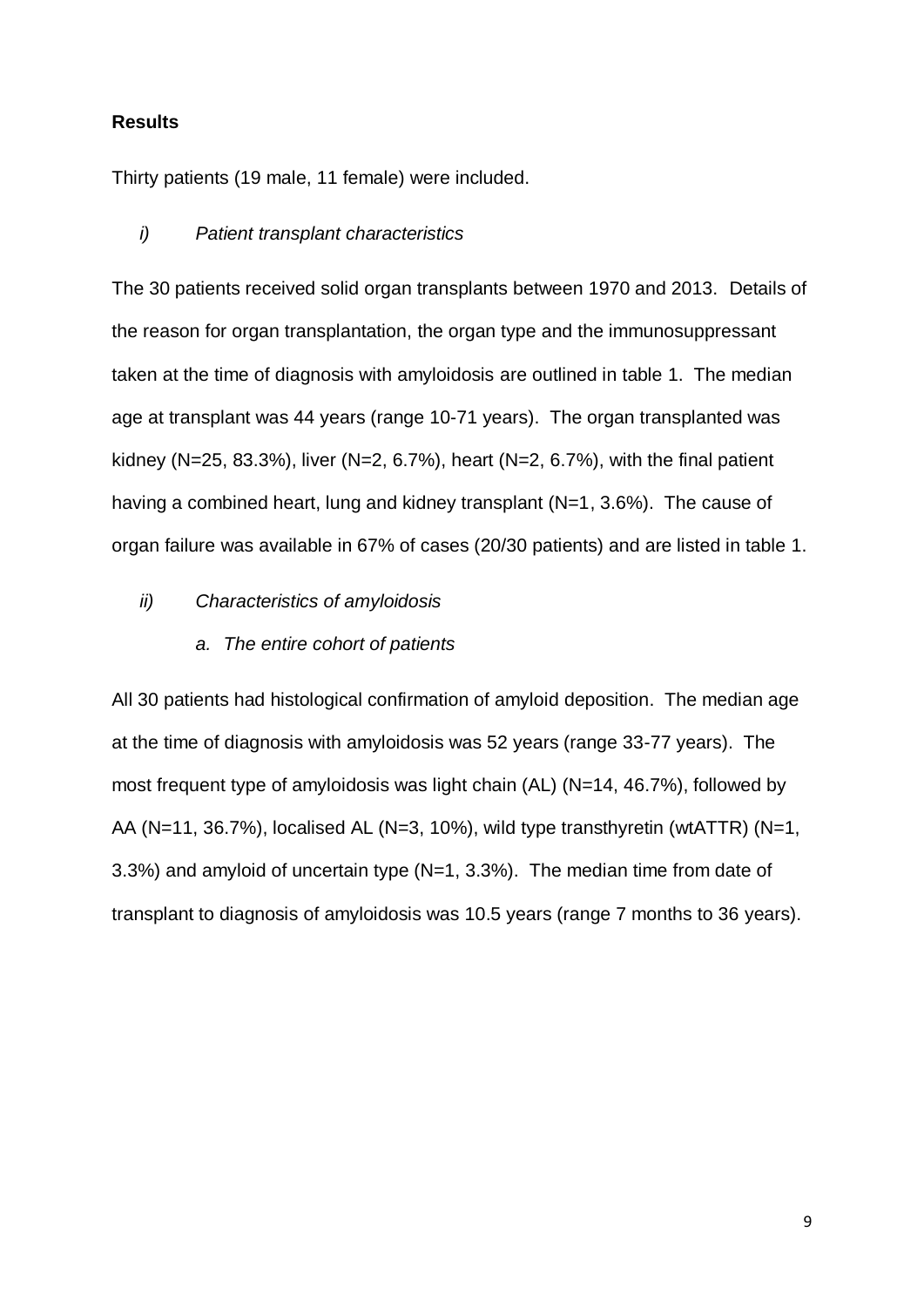# **Results**

Thirty patients (19 male, 11 female) were included.

# *i) Patient transplant characteristics*

The 30 patients received solid organ transplants between 1970 and 2013. Details of the reason for organ transplantation, the organ type and the immunosuppressant taken at the time of diagnosis with amyloidosis are outlined in table 1. The median age at transplant was 44 years (range 10-71 years). The organ transplanted was kidney (N=25, 83.3%), liver (N=2, 6.7%), heart (N=2, 6.7%), with the final patient having a combined heart, lung and kidney transplant (N=1, 3.6%). The cause of organ failure was available in 67% of cases (20/30 patients) and are listed in table 1.

#### *ii) Characteristics of amyloidosis*

### *a. The entire cohort of patients*

All 30 patients had histological confirmation of amyloid deposition. The median age at the time of diagnosis with amyloidosis was 52 years (range 33-77 years). The most frequent type of amyloidosis was light chain (AL) (N=14, 46.7%), followed by AA (N=11, 36.7%), localised AL (N=3, 10%), wild type transthyretin (wtATTR) (N=1, 3.3%) and amyloid of uncertain type (N=1, 3.3%). The median time from date of transplant to diagnosis of amyloidosis was 10.5 years (range 7 months to 36 years).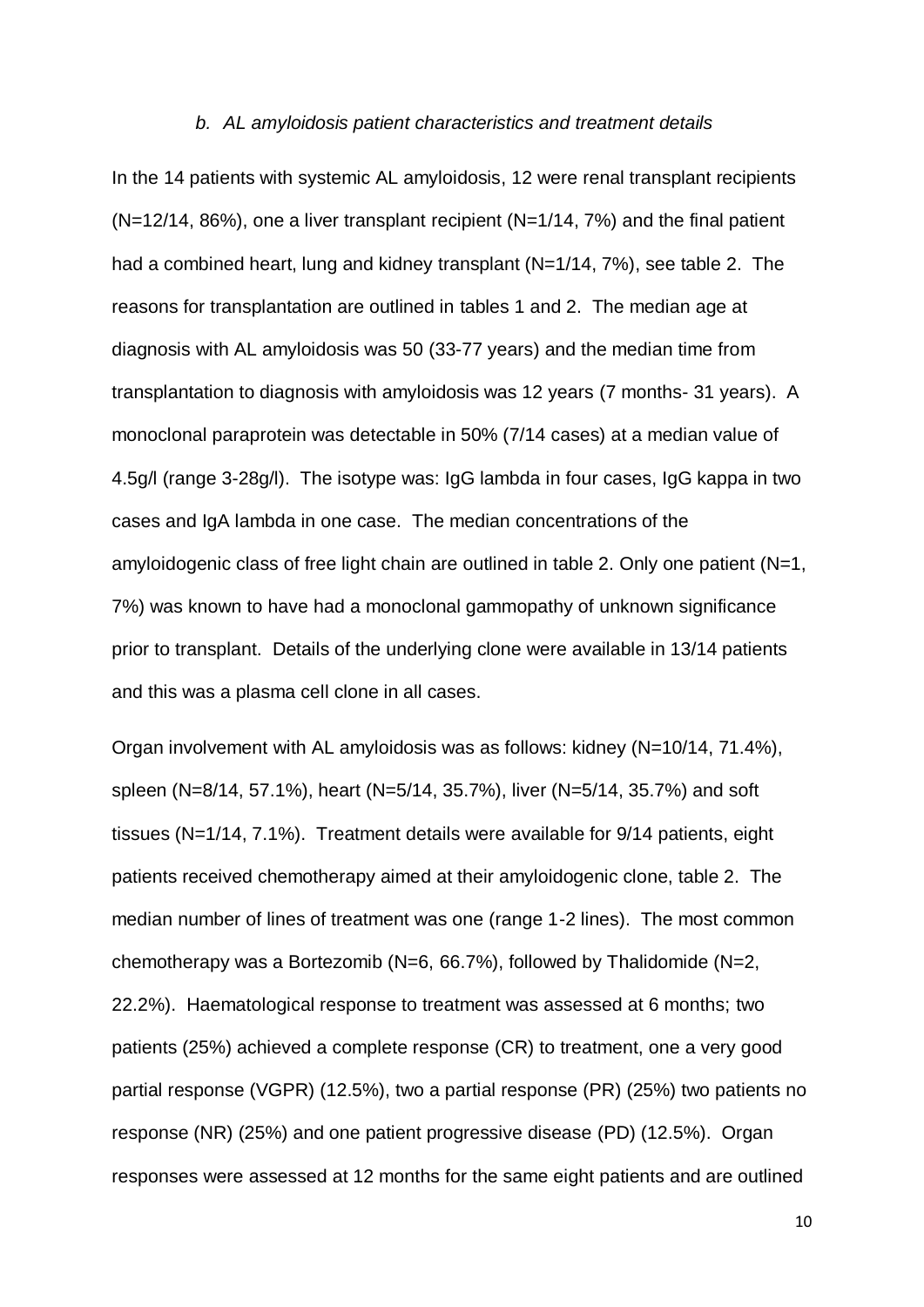#### *b. AL amyloidosis patient characteristics and treatment details*

In the 14 patients with systemic AL amyloidosis, 12 were renal transplant recipients (N=12/14, 86%), one a liver transplant recipient (N=1/14, 7%) and the final patient had a combined heart, lung and kidney transplant (N=1/14, 7%), see table 2. The reasons for transplantation are outlined in tables 1 and 2. The median age at diagnosis with AL amyloidosis was 50 (33-77 years) and the median time from transplantation to diagnosis with amyloidosis was 12 years (7 months- 31 years). A monoclonal paraprotein was detectable in 50% (7/14 cases) at a median value of 4.5g/l (range 3-28g/l). The isotype was: IgG lambda in four cases, IgG kappa in two cases and IgA lambda in one case. The median concentrations of the amyloidogenic class of free light chain are outlined in table 2. Only one patient (N=1, 7%) was known to have had a monoclonal gammopathy of unknown significance prior to transplant. Details of the underlying clone were available in 13/14 patients and this was a plasma cell clone in all cases.

Organ involvement with AL amyloidosis was as follows: kidney (N=10/14, 71.4%), spleen (N=8/14, 57.1%), heart (N=5/14, 35.7%), liver (N=5/14, 35.7%) and soft tissues (N=1/14, 7.1%). Treatment details were available for 9/14 patients, eight patients received chemotherapy aimed at their amyloidogenic clone, table 2. The median number of lines of treatment was one (range 1-2 lines). The most common chemotherapy was a Bortezomib (N=6, 66.7%), followed by Thalidomide (N=2, 22.2%). Haematological response to treatment was assessed at 6 months; two patients (25%) achieved a complete response (CR) to treatment, one a very good partial response (VGPR) (12.5%), two a partial response (PR) (25%) two patients no response (NR) (25%) and one patient progressive disease (PD) (12.5%). Organ responses were assessed at 12 months for the same eight patients and are outlined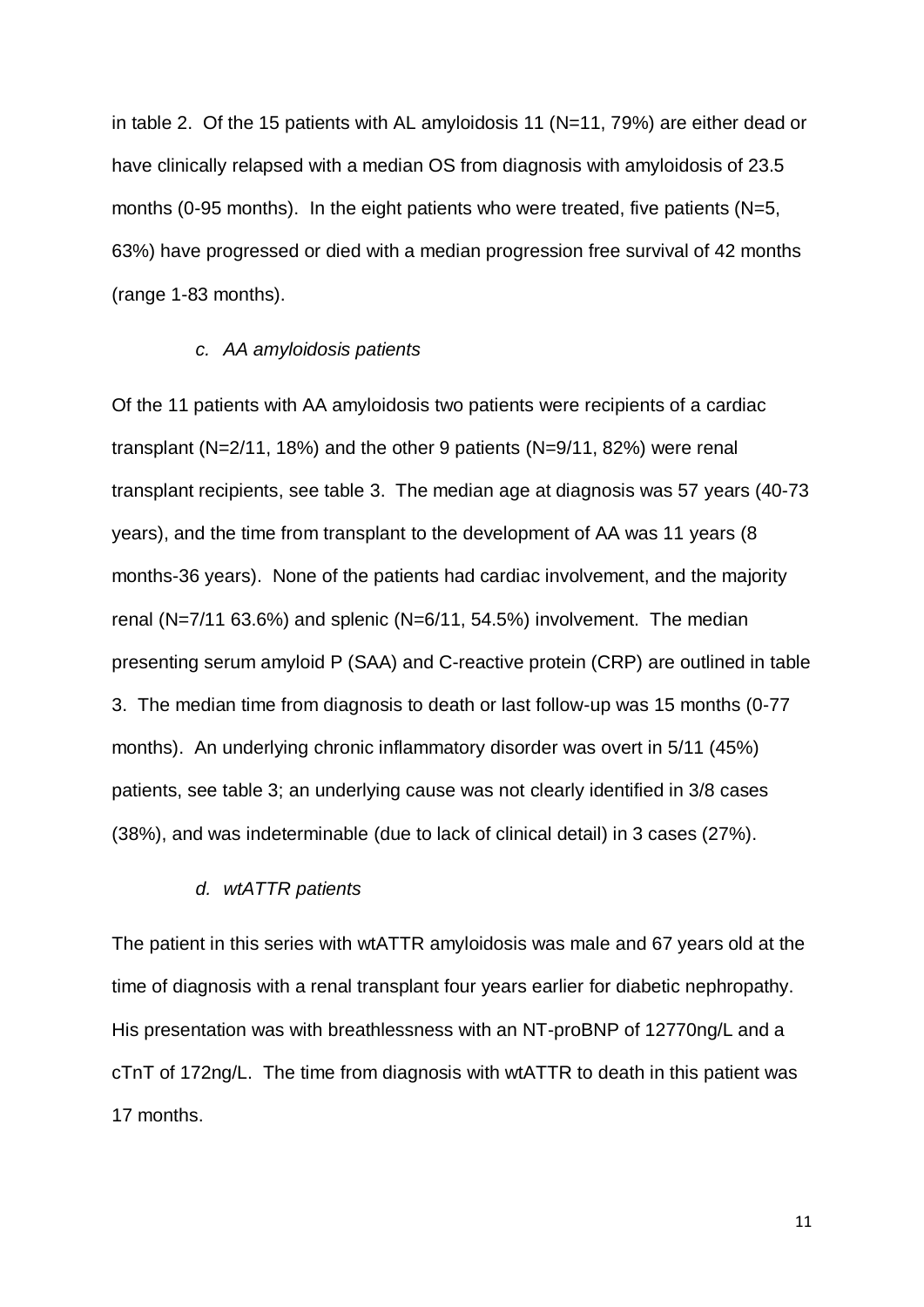in table 2. Of the 15 patients with AL amyloidosis 11 (N=11, 79%) are either dead or have clinically relapsed with a median OS from diagnosis with amyloidosis of 23.5 months (0-95 months). In the eight patients who were treated, five patients (N=5, 63%) have progressed or died with a median progression free survival of 42 months (range 1-83 months).

# *c. AA amyloidosis patients*

Of the 11 patients with AA amyloidosis two patients were recipients of a cardiac transplant (N=2/11, 18%) and the other 9 patients (N=9/11, 82%) were renal transplant recipients, see table 3. The median age at diagnosis was 57 years (40-73 years), and the time from transplant to the development of AA was 11 years (8 months-36 years). None of the patients had cardiac involvement, and the majority renal (N=7/11 63.6%) and splenic (N=6/11, 54.5%) involvement. The median presenting serum amyloid P (SAA) and C-reactive protein (CRP) are outlined in table 3. The median time from diagnosis to death or last follow-up was 15 months (0-77 months). An underlying chronic inflammatory disorder was overt in 5/11 (45%) patients, see table 3; an underlying cause was not clearly identified in 3/8 cases (38%), and was indeterminable (due to lack of clinical detail) in 3 cases (27%).

#### *d. wtATTR patients*

The patient in this series with wtATTR amyloidosis was male and 67 years old at the time of diagnosis with a renal transplant four years earlier for diabetic nephropathy. His presentation was with breathlessness with an NT-proBNP of 12770ng/L and a cTnT of 172ng/L. The time from diagnosis with wtATTR to death in this patient was 17 months.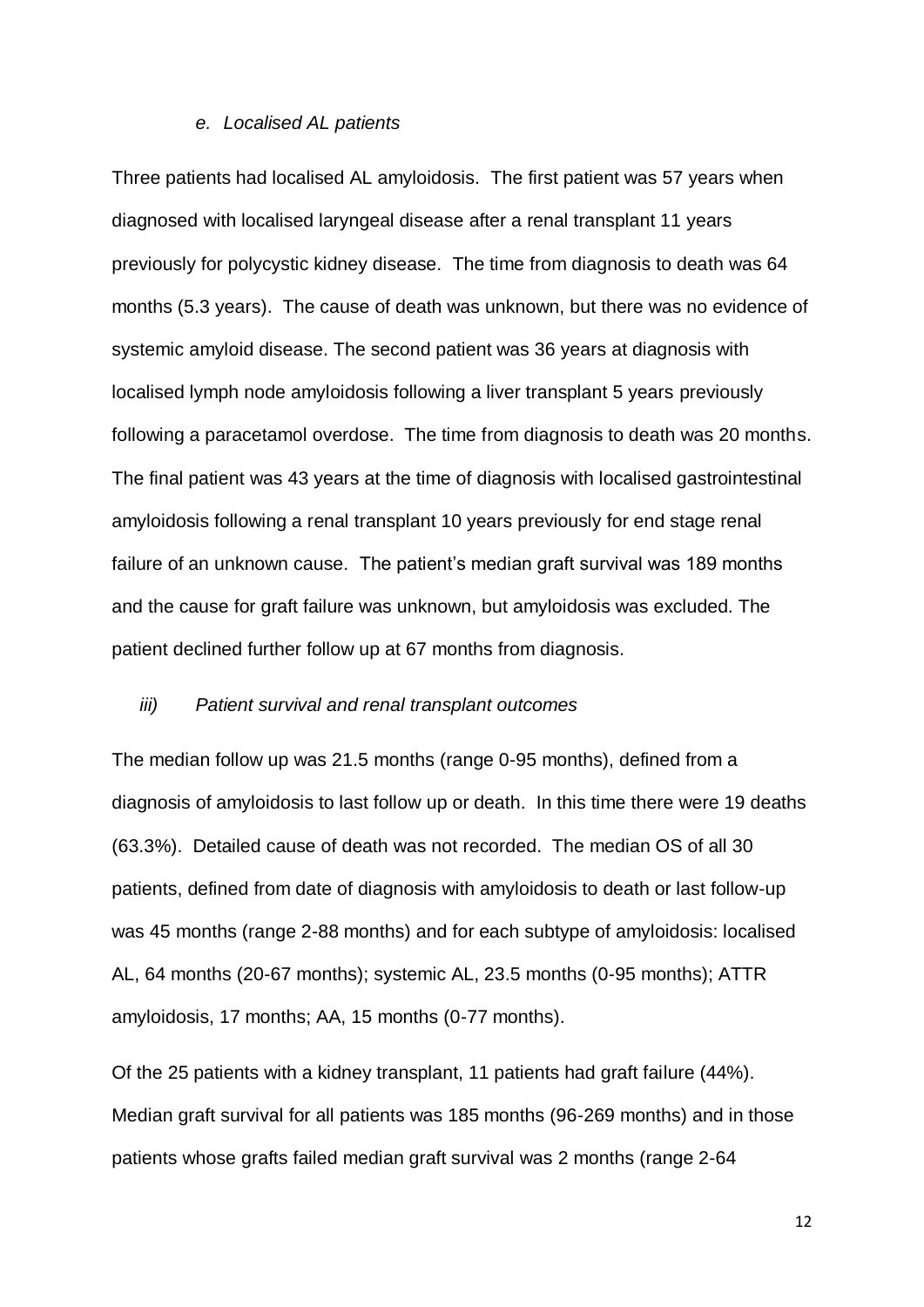#### *e. Localised AL patients*

Three patients had localised AL amyloidosis. The first patient was 57 years when diagnosed with localised laryngeal disease after a renal transplant 11 years previously for polycystic kidney disease. The time from diagnosis to death was 64 months (5.3 years). The cause of death was unknown, but there was no evidence of systemic amyloid disease. The second patient was 36 years at diagnosis with localised lymph node amyloidosis following a liver transplant 5 years previously following a paracetamol overdose. The time from diagnosis to death was 20 months. The final patient was 43 years at the time of diagnosis with localised gastrointestinal amyloidosis following a renal transplant 10 years previously for end stage renal failure of an unknown cause. The patient's median graft survival was 189 months and the cause for graft failure was unknown, but amyloidosis was excluded. The patient declined further follow up at 67 months from diagnosis.

#### *iii) Patient survival and renal transplant outcomes*

The median follow up was 21.5 months (range 0-95 months), defined from a diagnosis of amyloidosis to last follow up or death. In this time there were 19 deaths (63.3%). Detailed cause of death was not recorded. The median OS of all 30 patients, defined from date of diagnosis with amyloidosis to death or last follow-up was 45 months (range 2-88 months) and for each subtype of amyloidosis: localised AL, 64 months (20-67 months); systemic AL, 23.5 months (0-95 months); ATTR amyloidosis, 17 months; AA, 15 months (0-77 months).

Of the 25 patients with a kidney transplant, 11 patients had graft failure (44%). Median graft survival for all patients was 185 months (96-269 months) and in those patients whose grafts failed median graft survival was 2 months (range 2-64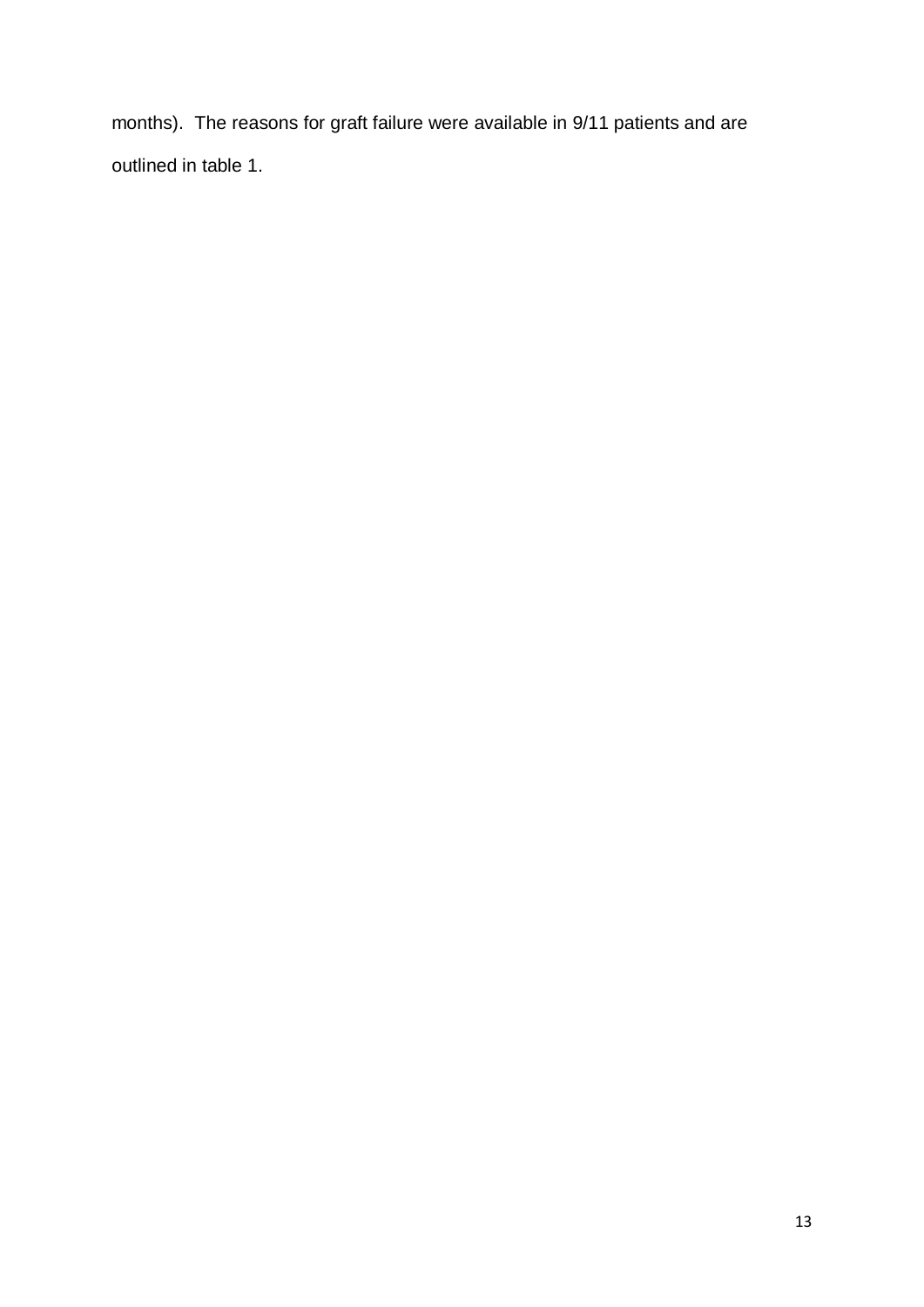months). The reasons for graft failure were available in 9/11 patients and are outlined in table 1.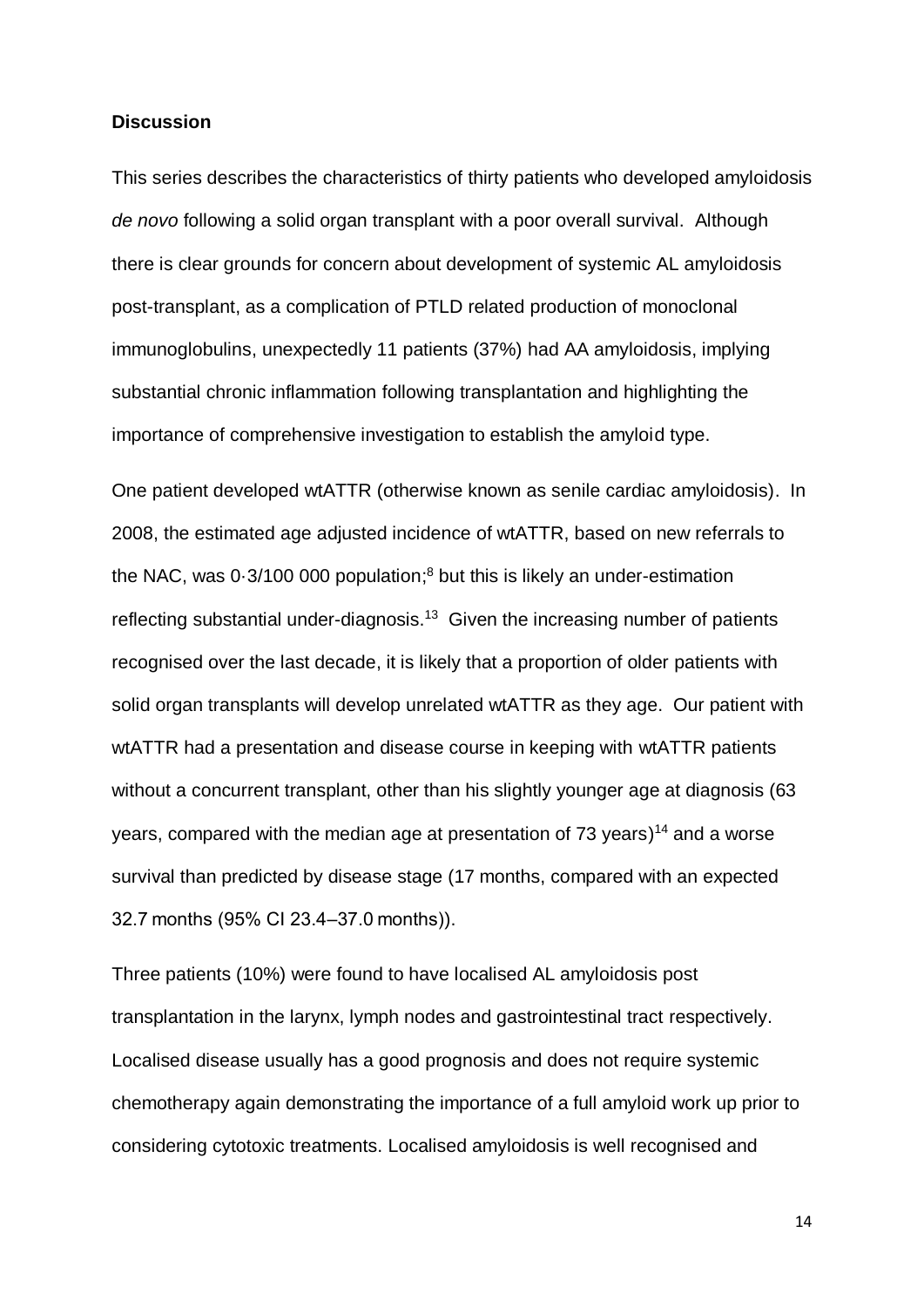# **Discussion**

This series describes the characteristics of thirty patients who developed amyloidosis *de novo* following a solid organ transplant with a poor overall survival. Although there is clear grounds for concern about development of systemic AL amyloidosis post-transplant, as a complication of PTLD related production of monoclonal immunoglobulins, unexpectedly 11 patients (37%) had AA amyloidosis, implying substantial chronic inflammation following transplantation and highlighting the importance of comprehensive investigation to establish the amyloid type.

One patient developed wtATTR (otherwise known as senile cardiac amyloidosis). In 2008, the estimated age adjusted incidence of wtATTR, based on new referrals to the NAC, was 0·3/100 000 population; <sup>8</sup> but this is likely an under-estimation reflecting substantial under-diagnosis.<sup>13</sup> Given the increasing number of patients recognised over the last decade, it is likely that a proportion of older patients with solid organ transplants will develop unrelated wtATTR as they age. Our patient with wtATTR had a presentation and disease course in keeping with wtATTR patients without a concurrent transplant, other than his slightly younger age at diagnosis (63 years, compared with the median age at presentation of 73 years) <sup>14</sup> and a worse survival than predicted by disease stage (17 months, compared with an expected 32.7 months (95% CI 23.4–37.0 months)).

Three patients (10%) were found to have localised AL amyloidosis post transplantation in the larynx, lymph nodes and gastrointestinal tract respectively. Localised disease usually has a good prognosis and does not require systemic chemotherapy again demonstrating the importance of a full amyloid work up prior to considering cytotoxic treatments. Localised amyloidosis is well recognised and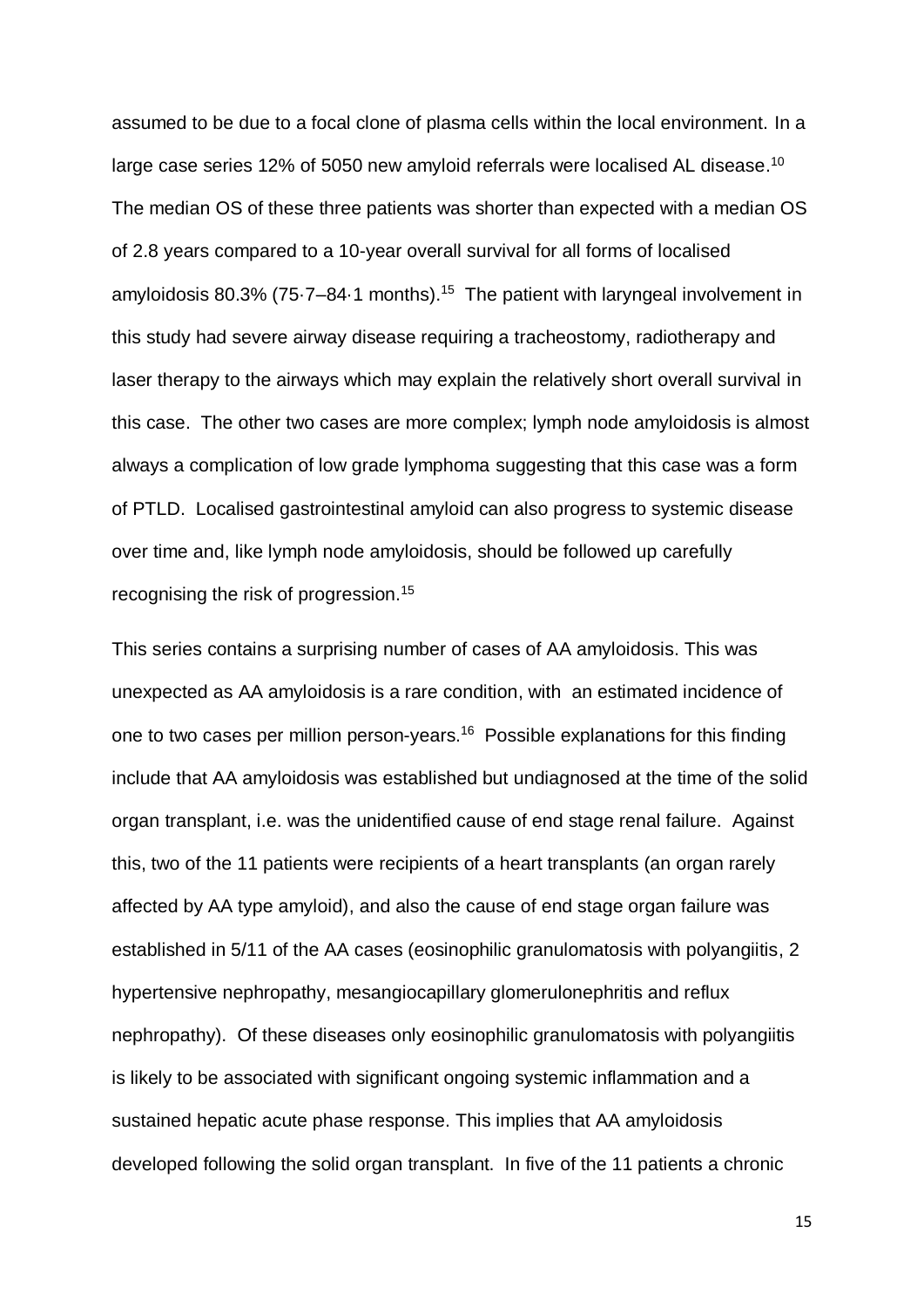assumed to be due to a focal clone of plasma cells within the local environment. In a large case series 12% of 5050 new amyloid referrals were localised AL disease.<sup>10</sup> The median OS of these three patients was shorter than expected with a median OS of 2.8 years compared to a 10-year overall survival for all forms of localised amyloidosis 80.3% ( $75.7-84.1$  months).<sup>15</sup> The patient with laryngeal involvement in this study had severe airway disease requiring a tracheostomy, radiotherapy and laser therapy to the airways which may explain the relatively short overall survival in this case. The other two cases are more complex; lymph node amyloidosis is almost always a complication of low grade lymphoma suggesting that this case was a form of PTLD. Localised gastrointestinal amyloid can also progress to systemic disease over time and, like lymph node amyloidosis, should be followed up carefully recognising the risk of progression.<sup>15</sup>

This series contains a surprising number of cases of AA amyloidosis. This was unexpected as AA amyloidosis is a rare condition, with an estimated incidence of one to two cases per million person-years.<sup>16</sup> Possible explanations for this finding include that AA amyloidosis was established but undiagnosed at the time of the solid organ transplant, i.e. was the unidentified cause of end stage renal failure. Against this, two of the 11 patients were recipients of a heart transplants (an organ rarely affected by AA type amyloid), and also the cause of end stage organ failure was established in 5/11 of the AA cases (eosinophilic granulomatosis with polyangiitis, 2 hypertensive nephropathy, mesangiocapillary glomerulonephritis and reflux nephropathy). Of these diseases only eosinophilic granulomatosis with polyangiitis is likely to be associated with significant ongoing systemic inflammation and a sustained hepatic acute phase response. This implies that AA amyloidosis developed following the solid organ transplant. In five of the 11 patients a chronic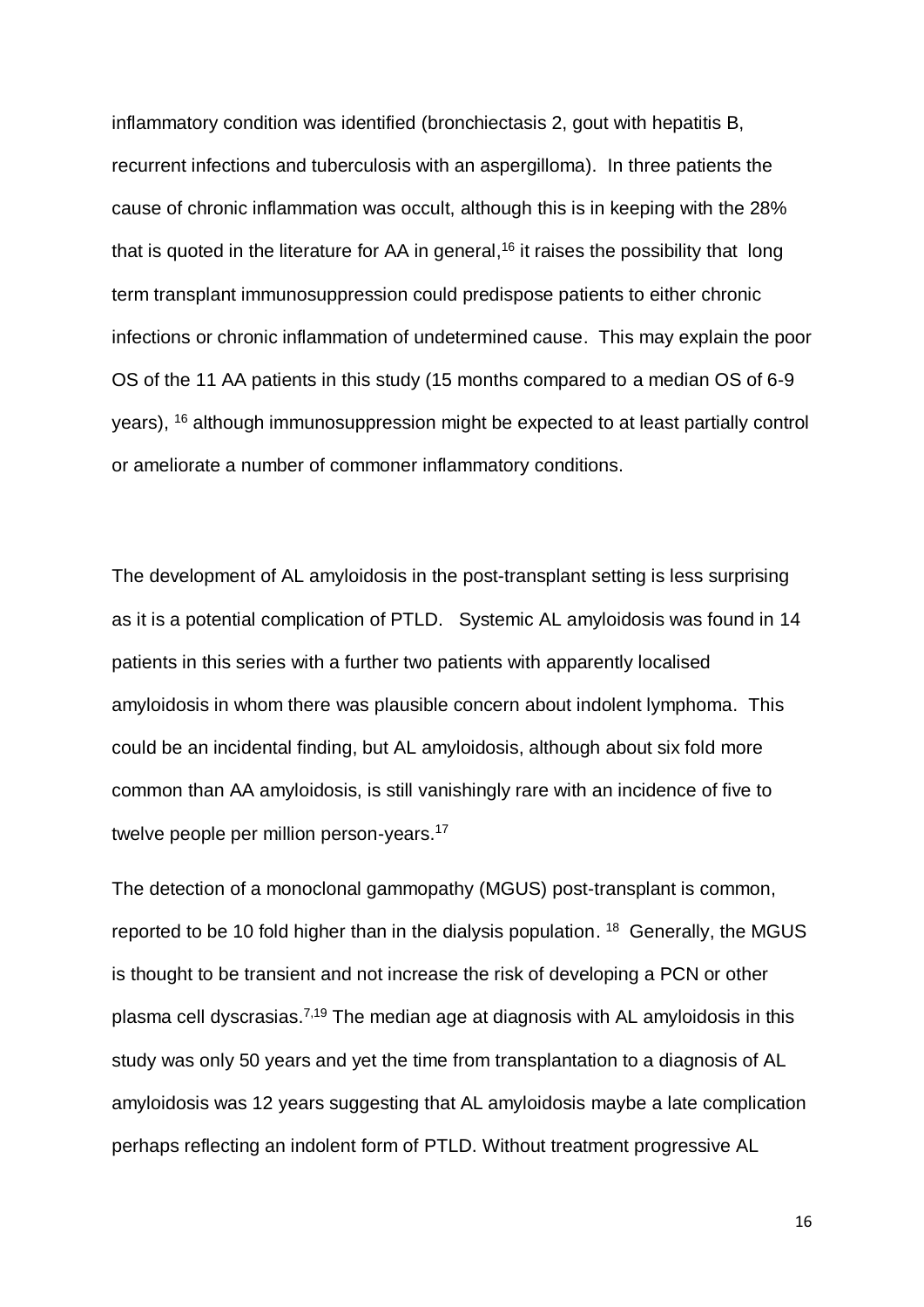inflammatory condition was identified (bronchiectasis 2, gout with hepatitis B, recurrent infections and tuberculosis with an aspergilloma). In three patients the cause of chronic inflammation was occult, although this is in keeping with the 28% that is quoted in the literature for AA in general,<sup>16</sup> it raises the possibility that long term transplant immunosuppression could predispose patients to either chronic infections or chronic inflammation of undetermined cause. This may explain the poor OS of the 11 AA patients in this study (15 months compared to a median OS of 6-9 years), <sup>16</sup> although immunosuppression might be expected to at least partially control or ameliorate a number of commoner inflammatory conditions.

The development of AL amyloidosis in the post-transplant setting is less surprising as it is a potential complication of PTLD. Systemic AL amyloidosis was found in 14 patients in this series with a further two patients with apparently localised amyloidosis in whom there was plausible concern about indolent lymphoma. This could be an incidental finding, but AL amyloidosis, although about six fold more common than AA amyloidosis, is still vanishingly rare with an incidence of five to twelve people per million person-years.<sup>17</sup>

The detection of a monoclonal gammopathy (MGUS) post-transplant is common, reported to be 10 fold higher than in the dialysis population.  $18$  Generally, the MGUS is thought to be transient and not increase the risk of developing a PCN or other plasma cell dyscrasias.<sup>7,19</sup> The median age at diagnosis with AL amyloidosis in this study was only 50 years and yet the time from transplantation to a diagnosis of AL amyloidosis was 12 years suggesting that AL amyloidosis maybe a late complication perhaps reflecting an indolent form of PTLD. Without treatment progressive AL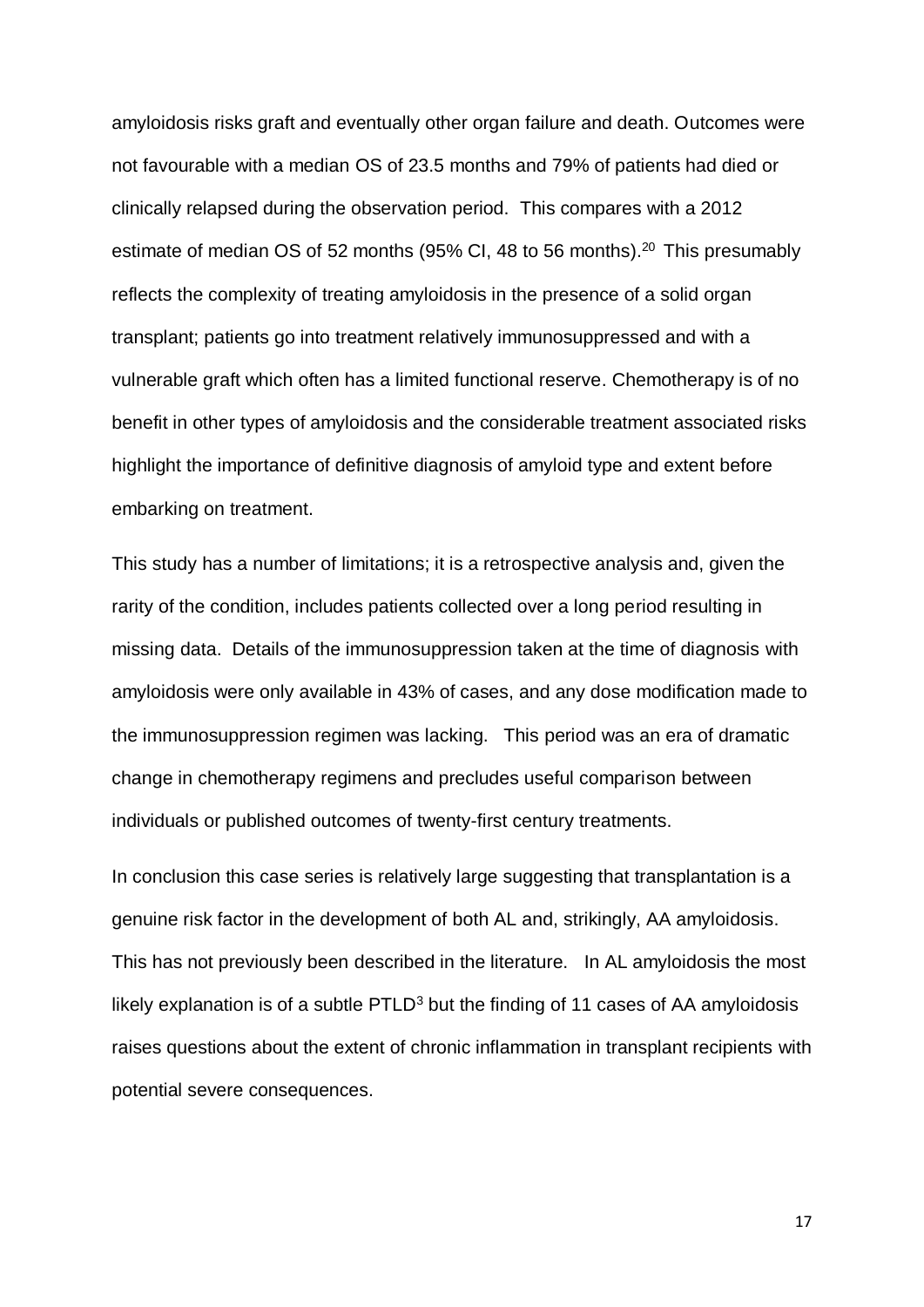amyloidosis risks graft and eventually other organ failure and death. Outcomes were not favourable with a median OS of 23.5 months and 79% of patients had died or clinically relapsed during the observation period. This compares with a 2012 estimate of median OS of 52 months (95% CI, 48 to 56 months).<sup>20</sup> This presumably reflects the complexity of treating amyloidosis in the presence of a solid organ transplant; patients go into treatment relatively immunosuppressed and with a vulnerable graft which often has a limited functional reserve. Chemotherapy is of no benefit in other types of amyloidosis and the considerable treatment associated risks highlight the importance of definitive diagnosis of amyloid type and extent before embarking on treatment.

This study has a number of limitations; it is a retrospective analysis and, given the rarity of the condition, includes patients collected over a long period resulting in missing data. Details of the immunosuppression taken at the time of diagnosis with amyloidosis were only available in 43% of cases, and any dose modification made to the immunosuppression regimen was lacking. This period was an era of dramatic change in chemotherapy regimens and precludes useful comparison between individuals or published outcomes of twenty-first century treatments.

In conclusion this case series is relatively large suggesting that transplantation is a genuine risk factor in the development of both AL and, strikingly, AA amyloidosis. This has not previously been described in the literature. In AL amyloidosis the most likely explanation is of a subtle  $PTLD<sup>3</sup>$  but the finding of 11 cases of AA amyloidosis raises questions about the extent of chronic inflammation in transplant recipients with potential severe consequences.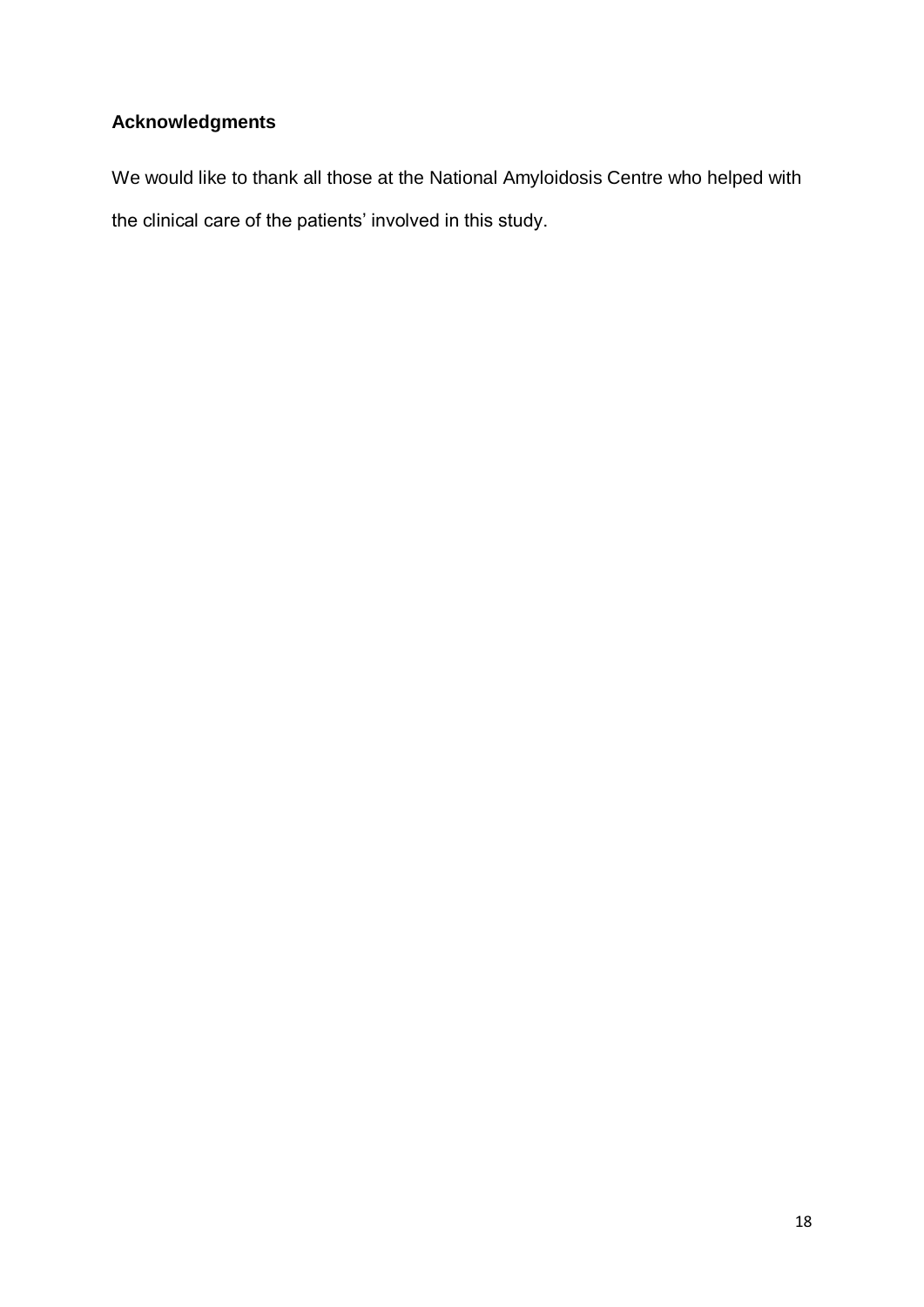# **Acknowledgments**

We would like to thank all those at the National Amyloidosis Centre who helped with the clinical care of the patients' involved in this study.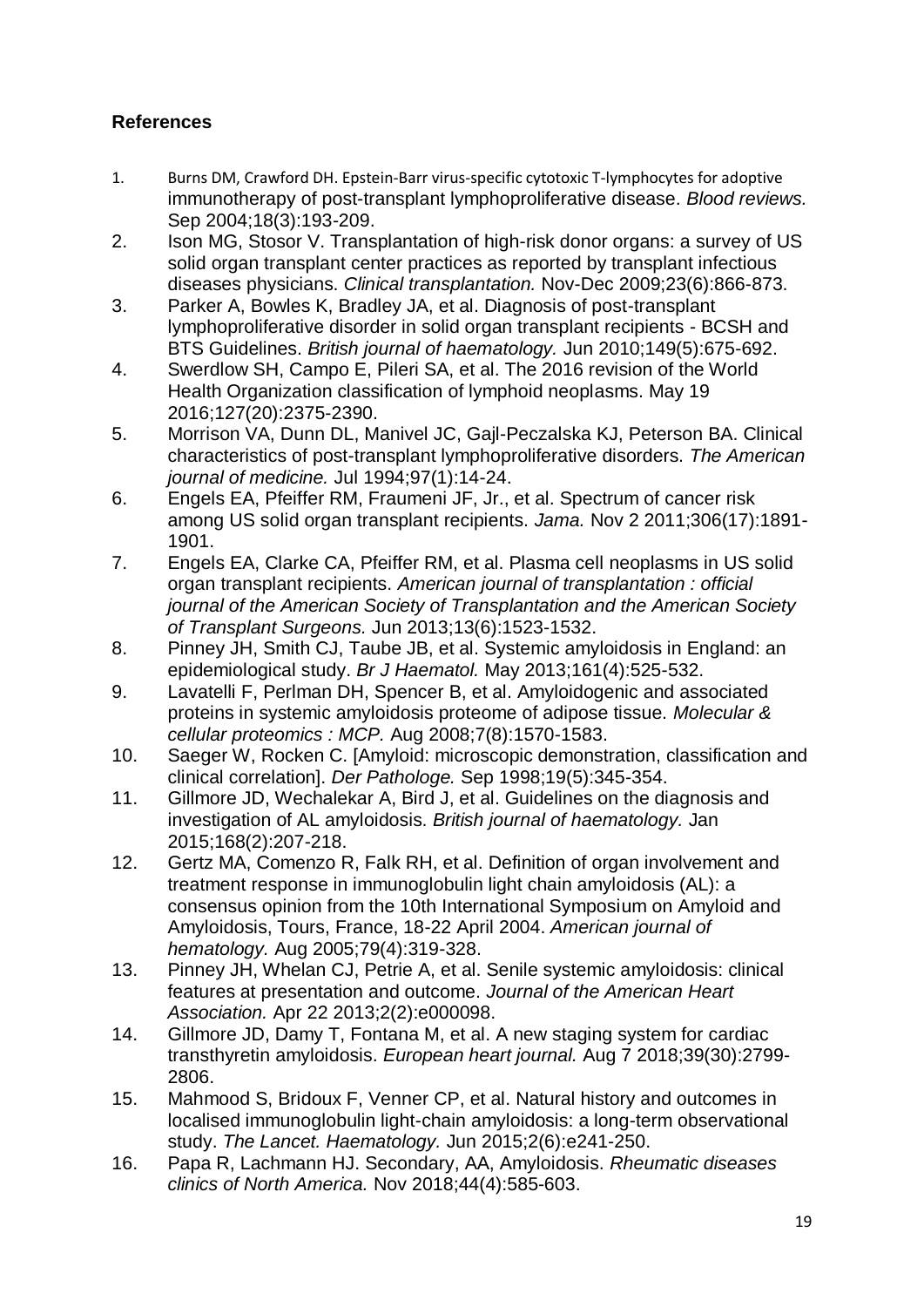# **References**

- 1. Burns DM, Crawford DH. Epstein-Barr virus-specific cytotoxic T-lymphocytes for adoptive immunotherapy of post-transplant lymphoproliferative disease. *Blood reviews.*  Sep 2004;18(3):193-209.
- 2. Ison MG, Stosor V. Transplantation of high-risk donor organs: a survey of US solid organ transplant center practices as reported by transplant infectious diseases physicians. *Clinical transplantation.* Nov-Dec 2009;23(6):866-873.
- 3. Parker A, Bowles K, Bradley JA, et al. Diagnosis of post-transplant lymphoproliferative disorder in solid organ transplant recipients - BCSH and BTS Guidelines. *British journal of haematology.* Jun 2010;149(5):675-692.
- 4. Swerdlow SH, Campo E, Pileri SA, et al. The 2016 revision of the World Health Organization classification of lymphoid neoplasms. May 19 2016;127(20):2375-2390.
- 5. Morrison VA, Dunn DL, Manivel JC, Gajl-Peczalska KJ, Peterson BA. Clinical characteristics of post-transplant lymphoproliferative disorders. *The American journal of medicine.* Jul 1994;97(1):14-24.
- 6. Engels EA, Pfeiffer RM, Fraumeni JF, Jr., et al. Spectrum of cancer risk among US solid organ transplant recipients. *Jama.* Nov 2 2011;306(17):1891- 1901.
- 7. Engels EA, Clarke CA, Pfeiffer RM, et al. Plasma cell neoplasms in US solid organ transplant recipients. *American journal of transplantation : official journal of the American Society of Transplantation and the American Society of Transplant Surgeons.* Jun 2013;13(6):1523-1532.
- 8. Pinney JH, Smith CJ, Taube JB, et al. Systemic amyloidosis in England: an epidemiological study. *Br J Haematol.* May 2013;161(4):525-532.
- 9. Lavatelli F, Perlman DH, Spencer B, et al. Amyloidogenic and associated proteins in systemic amyloidosis proteome of adipose tissue. *Molecular & cellular proteomics : MCP.* Aug 2008;7(8):1570-1583.
- 10. Saeger W, Rocken C. [Amyloid: microscopic demonstration, classification and clinical correlation]. *Der Pathologe.* Sep 1998;19(5):345-354.
- 11. Gillmore JD, Wechalekar A, Bird J, et al. Guidelines on the diagnosis and investigation of AL amyloidosis. *British journal of haematology.* Jan 2015;168(2):207-218.
- 12. Gertz MA, Comenzo R, Falk RH, et al. Definition of organ involvement and treatment response in immunoglobulin light chain amyloidosis (AL): a consensus opinion from the 10th International Symposium on Amyloid and Amyloidosis, Tours, France, 18-22 April 2004. *American journal of hematology.* Aug 2005;79(4):319-328.
- 13. Pinney JH, Whelan CJ, Petrie A, et al. Senile systemic amyloidosis: clinical features at presentation and outcome. *Journal of the American Heart Association.* Apr 22 2013;2(2):e000098.
- 14. Gillmore JD, Damy T, Fontana M, et al. A new staging system for cardiac transthyretin amyloidosis. *European heart journal.* Aug 7 2018;39(30):2799- 2806.
- 15. Mahmood S, Bridoux F, Venner CP, et al. Natural history and outcomes in localised immunoglobulin light-chain amyloidosis: a long-term observational study. *The Lancet. Haematology.* Jun 2015;2(6):e241-250.
- 16. Papa R, Lachmann HJ. Secondary, AA, Amyloidosis. *Rheumatic diseases clinics of North America.* Nov 2018;44(4):585-603.